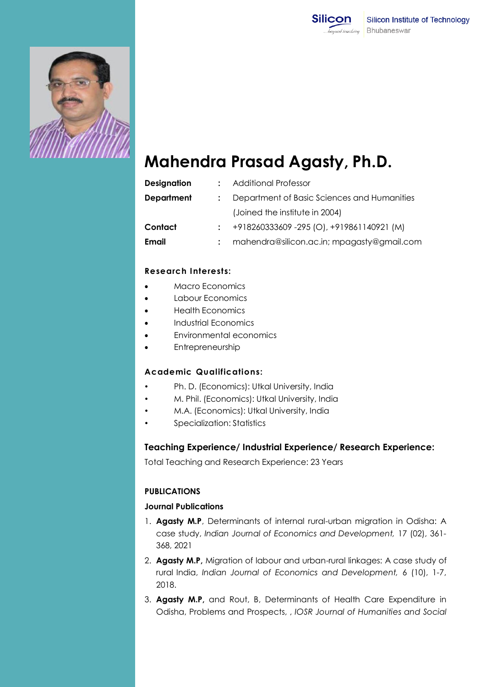



# **Mahendra Prasad Agasty, Ph.D.**

| <b>Designation</b> | <b>Additional Professor</b>                 |
|--------------------|---------------------------------------------|
| <b>Department</b>  | Department of Basic Sciences and Humanities |
|                    | (Joined the institute in 2004)              |
| Contact            | +918260333609 -295 (O), +919861140921 (M)   |
| <b>Email</b>       | mahendra@silicon.ac.in; mpagasty@gmail.com  |

# **Research Interests:**

- Macro Economics
- Labour Economics
- Health Economics
- Industrial Economics
- Environmental economics
- Entrepreneurship

## **Academic Qualifications:**

- Ph. D. (Economics): Utkal University, India
- M. Phil. (Economics): Utkal University, India
- M.A. (Economics): Utkal University, India
- Specialization: Statistics

## **Teaching Experience/ Industrial Experience/ Research Experience:**

Total Teaching and Research Experience: 23 Years

# **PUBLICATIONS**

# **Journal Publications**

- 1. **Agasty M.P**, Determinants of internal rural-urban migration in Odisha: A case study, *Indian Journal of Economics and Development,* 17 (02), 361- 368, 2021
- 2. **Agasty M.P,** Migration of labour and urban-rural linkages: A case study of rural India, *Indian Journal of Economics and Development,* 6 (10), 1-7, 2018.
- 3. **Agasty M.P,** and Rout, B, Determinants of Health Care Expenditure in Odisha, Problems and Prospects, , *IOSR Journal of Humanities and Social*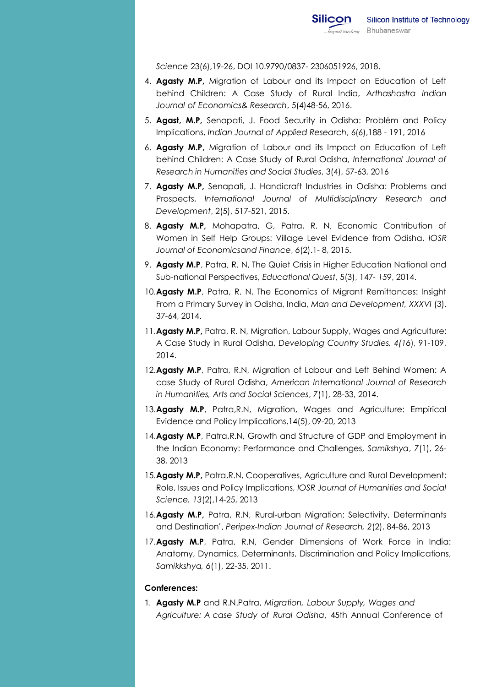*Science* 23(6),19-26, DOI 10.9790/0837- 2306051926, 2018.

- 4. **Agasty M.P,** Migration of Labour and its Impact on Education of Left behind Children: A Case Study of Rural India, *Arthashastra Indian Journal of Economics& Research*, 5(4)48-56, 2016.
- 5. **Agast, M.P,** Senapati, J. Food Security in Odisha: Problèm and Policy Implications, *Indian Journal of Applied Research*, 6(6),188 - 191, 2016
- 6. **Agasty M.P,** Migration of Labour and its Impact on Education of Left behind Children: A Case Study of Rural Odisha, *International Journal of Research in Humanities and Social Studies*, 3(4), 57-63, 2016
- 7. **Agasty M.P,** Senapati, J. Handicraft Industries in Odisha: Problems and Prospects, *International Journal of Multidisciplinary Research and Development*, 2(5), 517-521, 2015.
- 8. **Agasty M.P,** Mohapatra, G, Patra, R. N, Economic Contribution of Women in Self Help Groups: Village Level Evidence from Odisha, *IOSR Journal of Economicsand Finance*, *6*(2).1- 8, 2015.
- 9. **Agasty M.P**, Patra, R. N, The Quiet Crisis in Higher Education National and Sub-national Perspectives, *Educational Quest*, 5(3), 147*- 159*, 2014.
- 10.**Agasty M.P**, Patra, R. N, The Economics of Migrant Remittances: Insight From a Primary Survey in Odisha, India, *Man and Development, XXXVI* (3). 37-64, 2014.
- 11.**Agasty M.P,** Patra, R. N, Migration, Labour Supply, Wages and Agriculture: A Case Study in Rural Odisha, *Developing Country Studies, 4(16*), 91-109, 2014.
- 12.**Agasty M.P**, Patra, R.N, Migration of Labour and Left Behind Women: A case Study of Rural Odisha, *American International Journal of Research in Humanities, Arts and Social Sciences*, *7*(1), 28-33, 2014.
- 13.**Agasty M.P**, Patra,R.N, Migration, Wages and Agriculture: Empirical Evidence and Policy Implications,14(5), 09-20, 2013
- 14.**Agasty M.P**, Patra,R.N, Growth and Structure of GDP and Employment in the Indian Economy: Performance and Challenges, *Samikshya*, *7*(1), 26- 38, 2013
- 15.**Agasty M.P,** Patra,R.N, Cooperatives, Agriculture and Rural Development: Role, Issues and Policy Implications, *IOSR Journal of Humanities and Social Science, 13*(2),14-25, 2013
- 16.**Agasty M.P,** Patra, R.N, Rural-urban Migration: Selectivity, Determinants and Destination", *Peripex-Indian Journal of Research, 2*(2), 84-86, 2013
- 17.**Agasty M.P**, Patra, R.N, Gender Dimensions of Work Force in India: Anatomy, Dynamics, Determinants, Discrimination and Policy Implications, *Samikkshy*a*, 6*(1), 22-35, 2011.

#### **Conferences:**

1. **Agasty M.P** and R.N.Patra, *Migration, Labour Supply, Wages and Agriculture: A case Study of Rural Odisha*, 45th Annual Conference of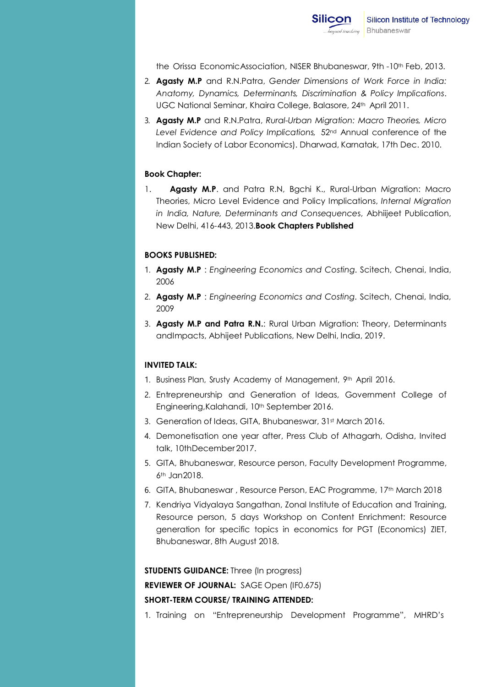the Orissa EconomicAssociation, NISER Bhubaneswar, 9th -10th Feb, 2013.

- 2. **Agasty M.P** and R.N.Patra, *Gender Dimensions of Work Force in India: Anatomy, Dynamics, Determinants, Discrimination & Policy Implications*. UGC National Seminar, Khaira College, Balasore, 24th April 2011.
- 3. **Agasty M.P** and R.N.Patra, *Rural-Urban Migration: Macro Theories, Micro Level Evidence and Policy Implications,* 52nd Annual conference of the Indian Society of Labor Economics). Dharwad, Karnatak, 17th Dec. 2010.

## **Book Chapter:**

1. **Agasty M.P**. and Patra R.N, Bgchi K., Rural-Urban Migration: Macro Theories, Micro Level Evidence and Policy Implications, *Internal Migration in India, Nature, Determinants and Consequence*s, Abhiijeet Publication, New Delhi, 416-443, 2013.**Book Chapters Published**

## **BOOKS PUBLISHED:**

- 1. **Agasty M.P** : *Engineering Economics and Costing*. Scitech, Chenai, India, 2006
- 2. **Agasty M.P** : *Engineering Economics and Costing*. Scitech, Chenai, India, 2009
- 3. **Agasty M.P and Patra R.N.**: Rural Urban Migration: Theory, Determinants andImpacts, Abhijeet Publications, New Delhi, India, 2019.

# **INVITED TALK:**

- 1. Business Plan, Srusty Academy of Management, 9th April 2016.
- 2. Entrepreneurship and Generation of Ideas, Government College of Engineering, Kalahandi, 10<sup>th</sup> September 2016.
- 3. Generation of Ideas, GITA, Bhubaneswar, 31st March 2016.
- 4. Demonetisation one year after, Press Club of Athagarh, Odisha, Invited talk, 10thDecember 2017.
- 5. GITA, Bhubaneswar, Resource person, Faculty Development Programme, 6th Jan2018.
- 6. GITA, Bhubaneswar , Resource Person, EAC Programme, 17th March 2018
- 7. Kendriya Vidyalaya Sangathan, Zonal Institute of Education and Training, Resource person, 5 days Workshop on Content Enrichment: Resource generation for specific topics in economics for PGT (Economics) ZIET, Bhubaneswar, 8th August 2018.

**STUDENTS GUIDANCE:** Three (In progress)

**REVIEWER OF JOURNAL:** SAGE Open (IF0.675)

#### **SHORT-TERM COURSE/ TRAINING ATTENDED:**

1. Training on "Entrepreneurship Development Programme", MHRD's